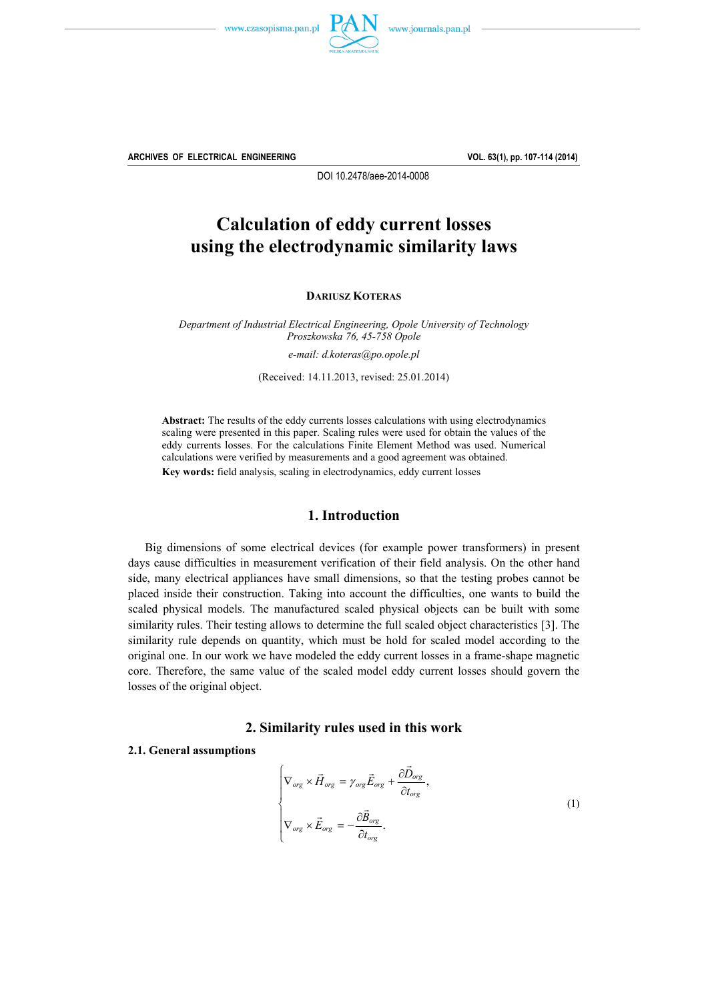



**ARCHIVES OF ELECTRICAL ENGINEERING VOL. 63(1), pp. 107-114 (2014)**

DOI 10.2478/aee-2014-0008

# **Calculation of eddy current losses using the electrodynamic similarity laws**

**DARIUSZ KOTERAS**

*Department of Industrial Electrical Engineering, Opole University of Technology Proszkowska 76, 45-758 Opole e-mail: d.koteras@po.opole.pl*

(Received: 14.11.2013, revised: 25.01.2014)

**Abstract:** The results of the eddy currents losses calculations with using electrodynamics scaling were presented in this paper. Scaling rules were used for obtain the values of the eddy currents losses. For the calculations Finite Element Method was used. Numerical calculations were verified by measurements and a good agreement was obtained. **Key words:** field analysis, scaling in electrodynamics, eddy current losses

# **1. Introduction**

 Big dimensions of some electrical devices (for example power transformers) in present days cause difficulties in measurement verification of their field analysis. On the other hand side, many electrical appliances have small dimensions, so that the testing probes cannot be placed inside their construction. Taking into account the difficulties, one wants to build the scaled physical models. The manufactured scaled physical objects can be built with some similarity rules. Their testing allows to determine the full scaled object characteristics [3]. The similarity rule depends on quantity, which must be hold for scaled model according to the original one. In our work we have modeled the eddy current losses in a frame-shape magnetic core. Therefore, the same value of the scaled model eddy current losses should govern the losses of the original object.

# **2. Similarity rules used in this work**

### **2.1. General assumptions**

$$
\begin{cases}\n\nabla_{org} \times \vec{H}_{org} = \gamma_{org} \vec{E}_{org} + \frac{\partial \vec{D}_{org}}{\partial t_{org}},\\ \n\nabla_{org} \times \vec{E}_{org} = -\frac{\partial \vec{B}_{org}}{\partial t_{org}}.\n\end{cases}
$$
\n(1)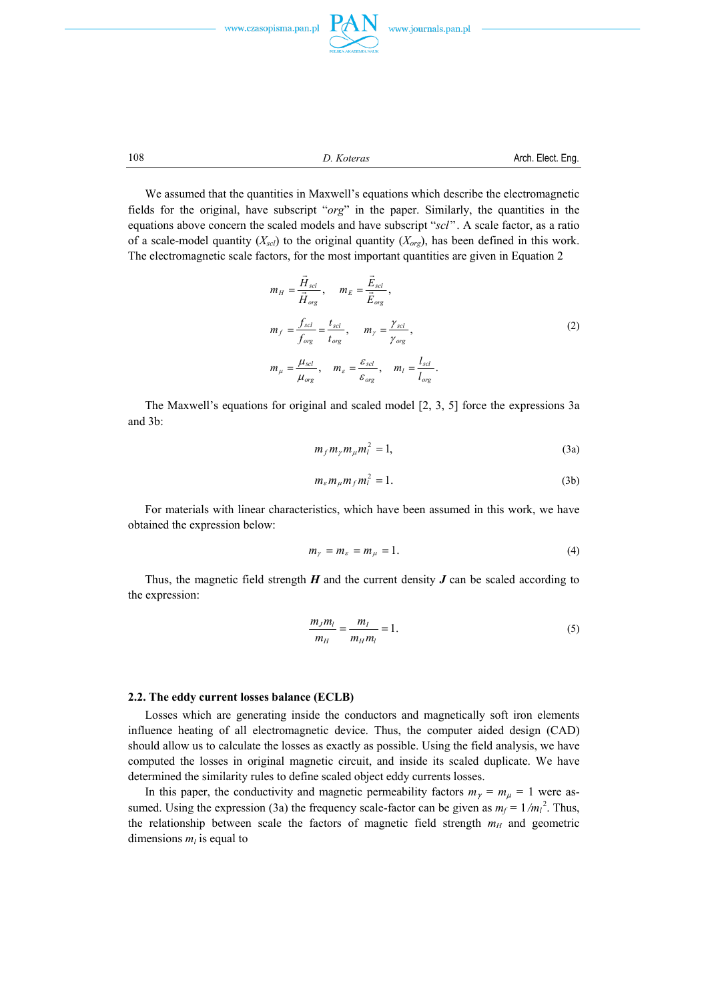

**108** *D. Koteras D. Koteras Arch. Elect. Eng.* 

 We assumed that the quantities in Maxwell's equations which describe the electromagnetic fields for the original, have subscript "*org*" in the paper. Similarly, the quantities in the equations above concern the scaled models and have subscript "*scl*". A scale factor, as a ratio of a scale-model quantity  $(X_{\text{sc}})$  to the original quantity  $(X_{\text{or}})$ , has been defined in this work. The electromagnetic scale factors, for the most important quantities are given in Equation 2

$$
m_H = \frac{\vec{H}_{\text{scl}}}{\vec{H}_{\text{org}}}, \quad m_E = \frac{\vec{E}_{\text{scl}}}{\vec{E}_{\text{org}}},
$$
  
\n
$$
m_f = \frac{f_{\text{scl}}}{f_{\text{org}}} = \frac{t_{\text{scl}}}{t_{\text{org}}}, \quad m_\gamma = \frac{\gamma_{\text{scl}}}{\gamma_{\text{org}}},
$$
  
\n
$$
m_\mu = \frac{\mu_{\text{scl}}}{\mu_{\text{org}}}, \quad m_\varepsilon = \frac{\varepsilon_{\text{scl}}}{\varepsilon_{\text{org}}}, \quad m_l = \frac{l_{\text{scl}}}{l_{\text{org}}}.
$$
\n(2)

 The Maxwell's equations for original and scaled model [2, 3, 5] force the expressions 3a and 3b:

$$
m_f m_\gamma m_\mu m_l^2 = 1,\t\t(3a)
$$

$$
m_{\varepsilon} m_{\mu} m_f m_l^2 = 1. \tag{3b}
$$

 For materials with linear characteristics, which have been assumed in this work, we have obtained the expression below:

$$
m_{\gamma} = m_{\varepsilon} = m_{\mu} = 1. \tag{4}
$$

Thus, the magnetic field strength  $H$  and the current density  $J$  can be scaled according to the expression:

$$
\frac{m_j m_l}{m_H} = \frac{m_l}{m_H m_l} = 1.
$$
 (5)

#### **2.2. The eddy current losses balance (ECLB)**

 Losses which are generating inside the conductors and magnetically soft iron elements influence heating of all electromagnetic device. Thus, the computer aided design (CAD) should allow us to calculate the losses as exactly as possible. Using the field analysis, we have computed the losses in original magnetic circuit, and inside its scaled duplicate. We have determined the similarity rules to define scaled object eddy currents losses.

In this paper, the conductivity and magnetic permeability factors  $m<sub>\gamma</sub> = m<sub>\mu</sub> = 1$  were assumed. Using the expression (3a) the frequency scale-factor can be given as  $m_f = 1/m_l^2$ . Thus, the relationship between scale the factors of magnetic field strength  $m_H$  and geometric dimensions  $m_l$  is equal to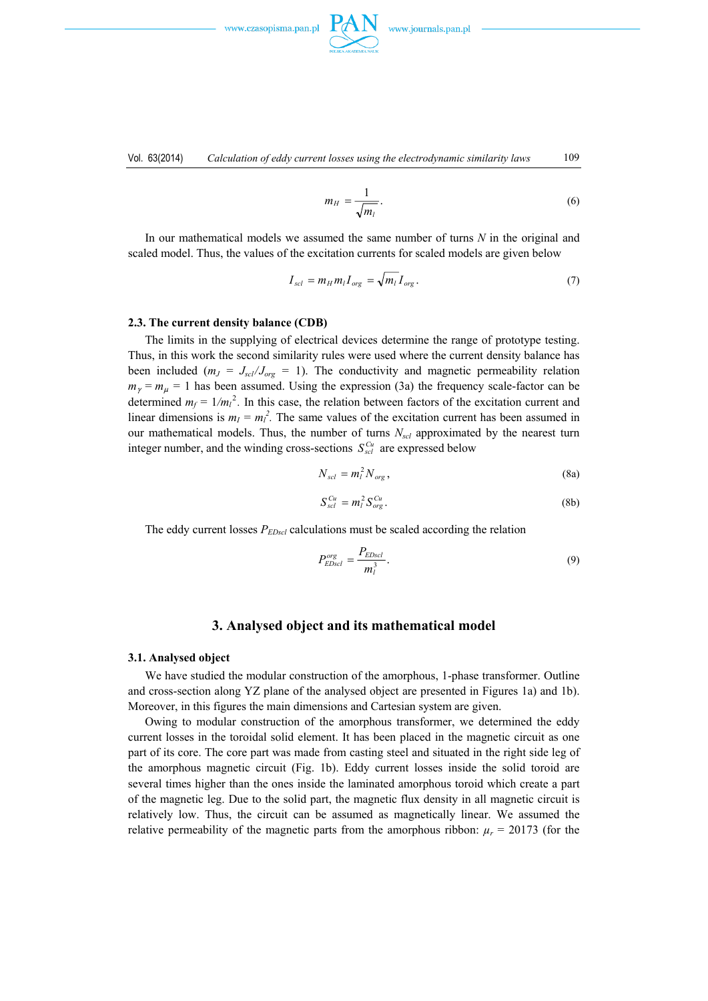www.czasopisma.pan.pl



$$
m_H = \frac{1}{\sqrt{m_l}}.\tag{6}
$$

 In our mathematical models we assumed the same number of turns *N* in the original and scaled model. Thus, the values of the excitation currents for scaled models are given below

$$
I_{\text{scl}} = m_H m_l I_{\text{org}} = \sqrt{m_l} I_{\text{org}}.
$$
\n<sup>(7)</sup>

#### **2.3. The current density balance (CDB)**

 The limits in the supplying of electrical devices determine the range of prototype testing. Thus, in this work the second similarity rules were used where the current density balance has been included ( $m_J = J_{\text{sel}}/J_{\text{org}} = 1$ ). The conductivity and magnetic permeability relation  $m_{\gamma} = m_{\mu} = 1$  has been assumed. Using the expression (3a) the frequency scale-factor can be determined  $m_f = 1/m_l^2$ . In this case, the relation between factors of the excitation current and linear dimensions is  $m_l = m_l^2$ . The same values of the excitation current has been assumed in our mathematical models. Thus, the number of turns *N<sub>scl</sub>* approximated by the nearest turn integer number, and the winding cross-sections  $S_{\text{sd}}^{Cu}$  are expressed below

$$
N_{\text{scl}} = m_l^2 N_{\text{org}} \,, \tag{8a}
$$

$$
S_{\text{scl}}^{\text{Cu}} = m_l^2 S_{\text{org}}^{\text{Cu}}.
$$
\n(8b)

The eddy current losses  $P_{EDsc}$  calculations must be scaled according the relation

$$
P_{EDscl}^{org} = \frac{P_{EDscl}}{m_l^3}.
$$
\n(9)

## **3. Analysed object and its mathematical model**

#### **3.1. Analysed object**

 We have studied the modular construction of the amorphous, 1-phase transformer. Outline and cross-section along YZ plane of the analysed object are presented in Figures 1a) and 1b). Moreover, in this figures the main dimensions and Cartesian system are given.

 Owing to modular construction of the amorphous transformer, we determined the eddy current losses in the toroidal solid element. It has been placed in the magnetic circuit as one part of its core. The core part was made from casting steel and situated in the right side leg of the amorphous magnetic circuit (Fig. 1b). Eddy current losses inside the solid toroid are several times higher than the ones inside the laminated amorphous toroid which create a part of the magnetic leg. Due to the solid part, the magnetic flux density in all magnetic circuit is relatively low. Thus, the circuit can be assumed as magnetically linear. We assumed the relative permeability of the magnetic parts from the amorphous ribbon:  $\mu_r = 20173$  (for the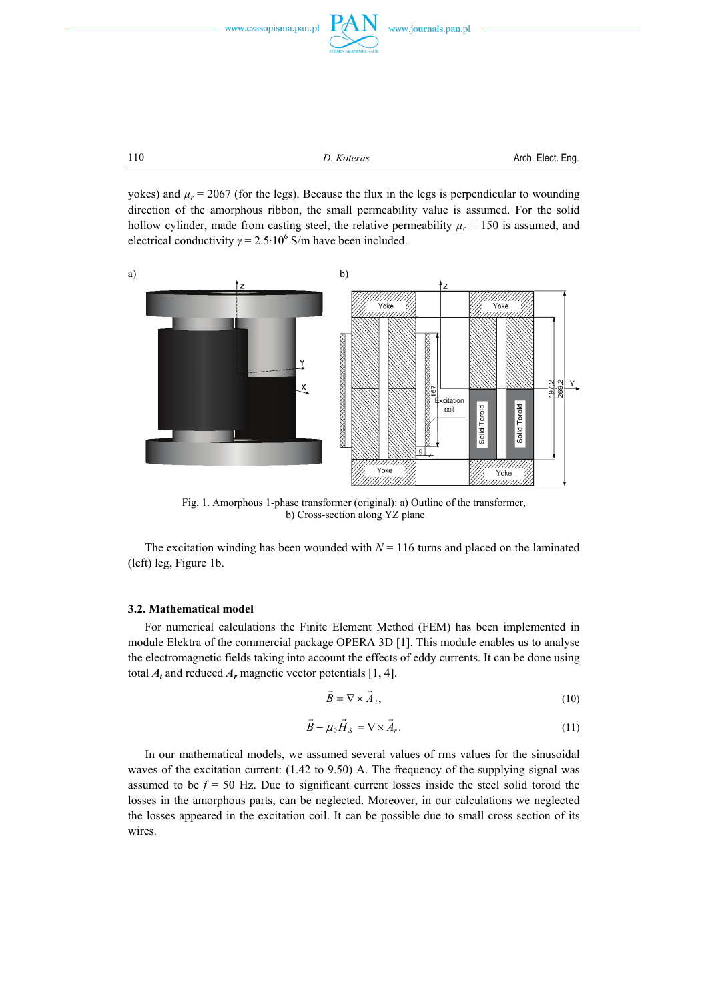

yokes) and  $\mu_r = 2067$  (for the legs). Because the flux in the legs is perpendicular to wounding direction of the amorphous ribbon, the small permeability value is assumed. For the solid hollow cylinder, made from casting steel, the relative permeability  $\mu_r = 150$  is assumed, and electrical conductivity  $\gamma = 2.5 \cdot 10^6$  S/m have been included.



Fig. 1. Amorphous 1-phase transformer (original): a) Outline of the transformer, b) Cross-section along YZ plane

The excitation winding has been wounded with  $N = 116$  turns and placed on the laminated (left) leg, Figure 1b.

## **3.2. Mathematical model**

 For numerical calculations the Finite Element Method (FEM) has been implemented in module Elektra of the commercial package OPERA 3D [1]. This module enables us to analyse the electromagnetic fields taking into account the effects of eddy currents. It can be done using total *At* and reduced *Ar* magnetic vector potentials [1, 4].

$$
\vec{B} = \nabla \times \vec{A}_t,\tag{10}
$$

$$
\vec{B} - \mu_0 \vec{H}_S = \nabla \times \vec{A}_r. \tag{11}
$$

 In our mathematical models, we assumed several values of rms values for the sinusoidal waves of the excitation current: (1.42 to 9.50) A. The frequency of the supplying signal was assumed to be  $f = 50$  Hz. Due to significant current losses inside the steel solid toroid the losses in the amorphous parts, can be neglected. Moreover, in our calculations we neglected the losses appeared in the excitation coil. It can be possible due to small cross section of its wires.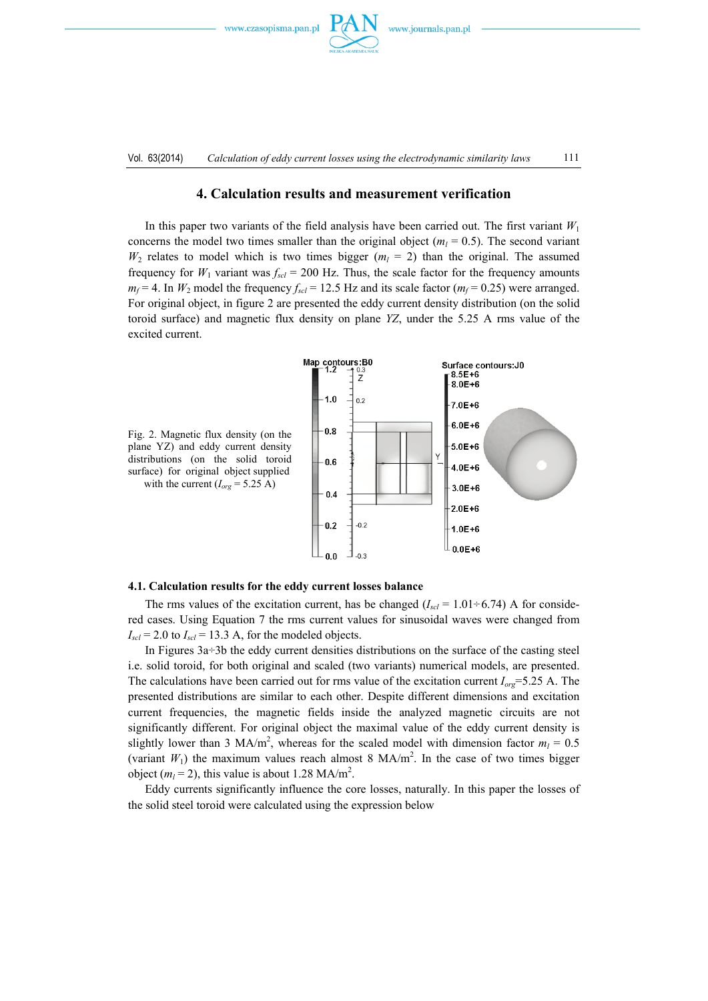www.czasopisma.pan.pl



# **4. Calculation results and measurement verification**

In this paper two variants of the field analysis have been carried out. The first variant  $W_1$ concerns the model two times smaller than the original object ( $m_l$  = 0.5). The second variant  $W_2$  relates to model which is two times bigger  $(m_l = 2)$  than the original. The assumed frequency for  $W_1$  variant was  $f_{\text{scl}} = 200$  Hz. Thus, the scale factor for the frequency amounts  $m_f$  = 4. In  $W_2$  model the frequency  $f_{scl}$  = 12.5 Hz and its scale factor ( $m_f$  = 0.25) were arranged. For original object, in figure 2 are presented the eddy current density distribution (on the solid toroid surface) and magnetic flux density on plane *YZ*, under the 5.25 A rms value of the excited current.



#### **4.1. Calculation results for the eddy current losses balance**

The rms values of the excitation current, has be changed  $(I_{\text{scl}} = 1.01 \div 6.74)$  A for considered cases. Using Equation 7 the rms current values for sinusoidal waves were changed from  $I_{\text{sel}}$  = 2.0 to  $I_{\text{sel}}$  = 13.3 A, for the modeled objects.

In Figures  $3a-3b$  the eddy current densities distributions on the surface of the casting steel i.e. solid toroid, for both original and scaled (two variants) numerical models, are presented. The calculations have been carried out for rms value of the excitation current  $I_{org} = 5.25$  A. The presented distributions are similar to each other. Despite different dimensions and excitation current frequencies, the magnetic fields inside the analyzed magnetic circuits are not significantly different. For original object the maximal value of the eddy current density is slightly lower than 3 MA/m<sup>2</sup>, whereas for the scaled model with dimension factor  $m_l = 0.5$ (variant  $W_1$ ) the maximum values reach almost 8 MA/m<sup>2</sup>. In the case of two times bigger object  $(m_l = 2)$ , this value is about 1.28 MA/m<sup>2</sup>.

 Eddy currents significantly influence the core losses, naturally. In this paper the losses of the solid steel toroid were calculated using the expression below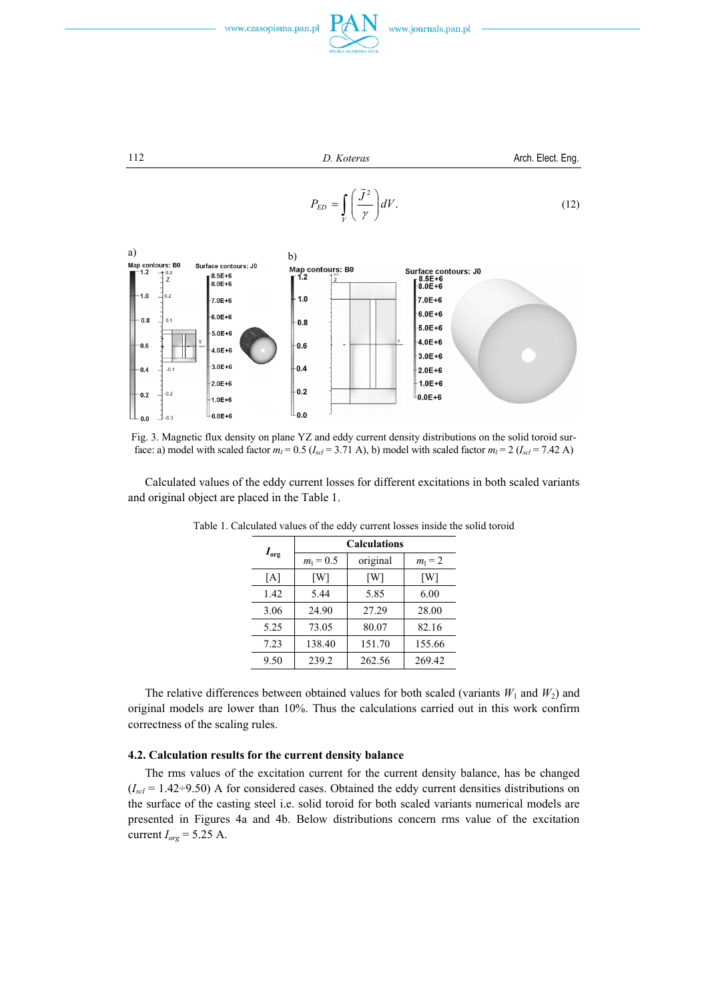



Fig. 3. Magnetic flux density on plane YZ and eddy current density distributions on the solid toroid surface: a) model with scaled factor  $m_l$  = 0.5 ( $I_{scl}$  = 3.71 A), b) model with scaled factor  $m_l$  = 2 ( $I_{scl}$  = 7.42 A)

 Calculated values of the eddy current losses for different excitations in both scaled variants and original object are placed in the Table 1.

| $I_{\text{org}}$ | <b>Calculations</b> |          |           |  |
|------------------|---------------------|----------|-----------|--|
|                  | $m_1 = 0.5$         | original | $m_1 = 2$ |  |
| [A]              | [W]                 | [W]      | [W]       |  |
| 1.42             | 5.44                | 5.85     | 6.00      |  |
| 3.06             | 24.90               | 27.29    | 28.00     |  |
| 5.25             | 73.05               | 80.07    | 82.16     |  |
| 7.23             | 138.40              | 151.70   | 155.66    |  |
| 9.50             | 239.2               | 262.56   | 269.42    |  |

Table 1. Calculated values of the eddy current losses inside the solid toroid

The relative differences between obtained values for both scaled (variants  $W_1$  and  $W_2$ ) and original models are lower than 10%. Thus the calculations carried out in this work confirm correctness of the scaling rules.

### **4.2. Calculation results for the current density balance**

 The rms values of the excitation current for the current density balance, has be changed  $(I_{\text{scl}} = 1.42 \div 9.50)$  A for considered cases. Obtained the eddy current densities distributions on the surface of the casting steel i.e. solid toroid for both scaled variants numerical models are presented in Figures 4a and 4b. Below distributions concern rms value of the excitation current  $I_{org}$  = 5.25 A.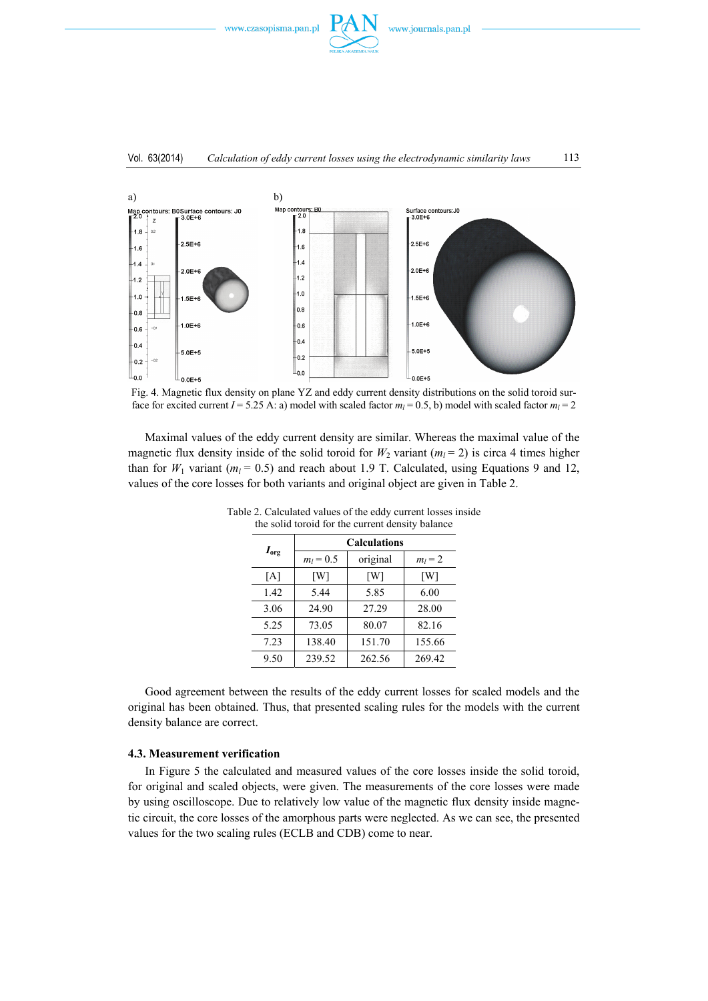



Fig. 4. Magnetic flux density on plane YZ and eddy current density distributions on the solid toroid surface for excited current  $I = 5.25$  A: a) model with scaled factor  $m_l = 0.5$ , b) model with scaled factor  $m_l = 2$ 

 Maximal values of the eddy current density are similar. Whereas the maximal value of the magnetic flux density inside of the solid toroid for  $W_2$  variant ( $m_l$  = 2) is circa 4 times higher than for  $W_1$  variant ( $m_l$  = 0.5) and reach about 1.9 T. Calculated, using Equations 9 and 12, values of the core losses for both variants and original object are given in Table 2.

| $I_{org}$ | <b>Calculations</b> |          |           |  |
|-----------|---------------------|----------|-----------|--|
|           | $m_l = 0.5$         | original | $m_l = 2$ |  |
| [A]       | [W]                 | [W]      | [W]       |  |
| 1.42      | 5.44                | 5.85     | 6.00      |  |
| 3.06      | 24.90               | 27.29    | 28.00     |  |
| 5.25      | 73.05               | 80.07    | 82.16     |  |
| 7.23      | 138.40              | 151.70   | 155.66    |  |
| 9.50      | 239.52              | 262.56   | 269.42    |  |

Table 2. Calculated values of the eddy current losses inside the solid toroid for the current density balance

 Good agreement between the results of the eddy current losses for scaled models and the original has been obtained. Thus, that presented scaling rules for the models with the current density balance are correct.

#### **4.3. Measurement verification**

 In Figure 5 the calculated and measured values of the core losses inside the solid toroid, for original and scaled objects, were given. The measurements of the core losses were made by using oscilloscope. Due to relatively low value of the magnetic flux density inside magnetic circuit, the core losses of the amorphous parts were neglected. As we can see, the presented values for the two scaling rules (ECLB and CDB) come to near.